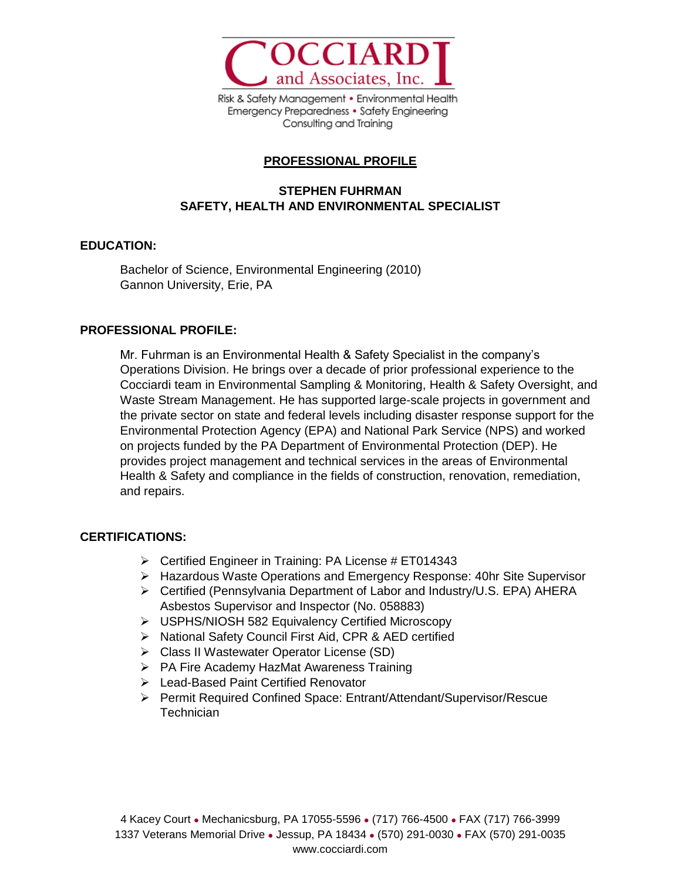

Risk & Safety Management . Environmental Health Emergency Preparedness • Safety Engineering Consulting and Training

# **PROFESSIONAL PROFILE**

# **STEPHEN FUHRMAN SAFETY, HEALTH AND ENVIRONMENTAL SPECIALIST**

### **EDUCATION:**

Bachelor of Science, Environmental Engineering (2010) Gannon University, Erie, PA

### **PROFESSIONAL PROFILE:**

Mr. Fuhrman is an Environmental Health & Safety Specialist in the company's Operations Division. He brings over a decade of prior professional experience to the Cocciardi team in Environmental Sampling & Monitoring, Health & Safety Oversight, and Waste Stream Management. He has supported large-scale projects in government and the private sector on state and federal levels including disaster response support for the Environmental Protection Agency (EPA) and National Park Service (NPS) and worked on projects funded by the PA Department of Environmental Protection (DEP). He provides project management and technical services in the areas of Environmental Health & Safety and compliance in the fields of construction, renovation, remediation, and repairs.

### **CERTIFICATIONS:**

- $\triangleright$  Certified Engineer in Training: PA License # ET014343
- ➢ Hazardous Waste Operations and Emergency Response: 40hr Site Supervisor
- ➢ Certified (Pennsylvania Department of Labor and Industry/U.S. EPA) AHERA Asbestos Supervisor and Inspector (No. 058883)
- ➢ USPHS/NIOSH 582 Equivalency Certified Microscopy
- ➢ National Safety Council First Aid, CPR & AED certified
- ➢ Class II Wastewater Operator License (SD)
- ➢ PA Fire Academy HazMat Awareness Training
- ➢ Lead-Based Paint Certified Renovator
- ➢ Permit Required Confined Space: Entrant/Attendant/Supervisor/Rescue **Technician**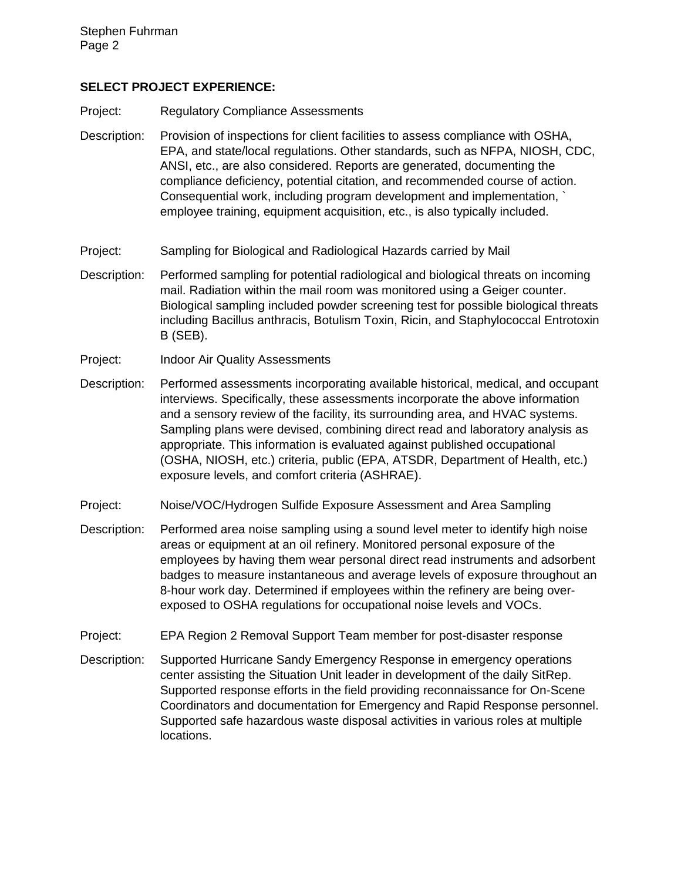#### **SELECT PROJECT EXPERIENCE:**

- Project: Regulatory Compliance Assessments
- Description: Provision of inspections for client facilities to assess compliance with OSHA, EPA, and state/local regulations. Other standards, such as NFPA, NIOSH, CDC, ANSI, etc., are also considered. Reports are generated, documenting the compliance deficiency, potential citation, and recommended course of action. Consequential work, including program development and implementation, ` employee training, equipment acquisition, etc., is also typically included.
- Project: Sampling for Biological and Radiological Hazards carried by Mail
- Description: Performed sampling for potential radiological and biological threats on incoming mail. Radiation within the mail room was monitored using a Geiger counter. Biological sampling included powder screening test for possible biological threats including Bacillus anthracis, Botulism Toxin, Ricin, and Staphylococcal Entrotoxin B (SEB).
- Project: Indoor Air Quality Assessments
- Description: Performed assessments incorporating available historical, medical, and occupant interviews. Specifically, these assessments incorporate the above information and a sensory review of the facility, its surrounding area, and HVAC systems. Sampling plans were devised, combining direct read and laboratory analysis as appropriate. This information is evaluated against published occupational (OSHA, NIOSH, etc.) criteria, public (EPA, ATSDR, Department of Health, etc.) exposure levels, and comfort criteria (ASHRAE).
- Project: Noise/VOC/Hydrogen Sulfide Exposure Assessment and Area Sampling
- Description: Performed area noise sampling using a sound level meter to identify high noise areas or equipment at an oil refinery. Monitored personal exposure of the employees by having them wear personal direct read instruments and adsorbent badges to measure instantaneous and average levels of exposure throughout an 8-hour work day. Determined if employees within the refinery are being overexposed to OSHA regulations for occupational noise levels and VOCs.
- Project: EPA Region 2 Removal Support Team member for post-disaster response
- Description: Supported Hurricane Sandy Emergency Response in emergency operations center assisting the Situation Unit leader in development of the daily SitRep. Supported response efforts in the field providing reconnaissance for On-Scene Coordinators and documentation for Emergency and Rapid Response personnel. Supported safe hazardous waste disposal activities in various roles at multiple locations.